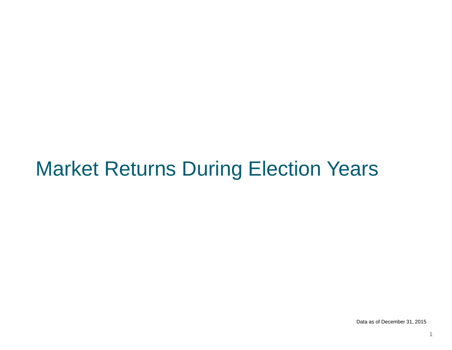# Market Returns During Election Years

Data as of December 31, 2015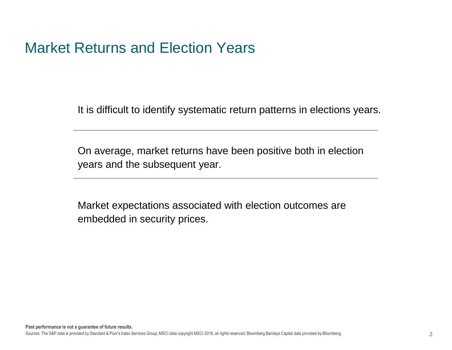#### Market Returns and Election Years

It is difficult to identify systematic return patterns in elections years.

On average, market returns have been positive both in election years and the subsequent year.

Market expectations associated with election outcomes are embedded in security prices.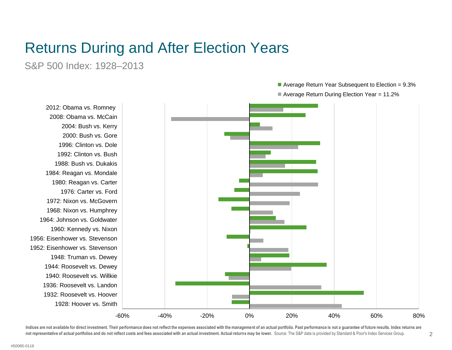S&P 500 Index: 1928–2013

-60% -40% -20% 0% 20% 40% 60% 80% 1928: Hoover vs. Smith 1932: Roosevelt vs. Hoover 1936: Roosevelt vs. Landon 1940: Roosevelt vs. Willkie 1944: Roosevelt vs. Dewey 1948: Truman vs. Dewey 1952: Eisenhower vs. Stevenson 1956: Eisenhower vs. Stevenson 1960: Kennedy vs. Nixon 1964: Johnson vs. Goldwater 1968: Nixon vs. Humphrey 1972: Nixon vs. McGovern 1976: Carter vs. Ford 1980: Reagan vs. Carter 1984: Reagan vs. Mondale 1988: Bush vs. Dukakis 1992: Clinton vs. Bush 1996: Clinton vs. Dole 2000: Bush vs. Gore 2004: Bush vs. Kerry 2008: Obama vs. McCain 2012: Obama vs. Romney

■ Average Return Year Subsequent to Election = 9.3%

Average Return During Election Year = 11.2%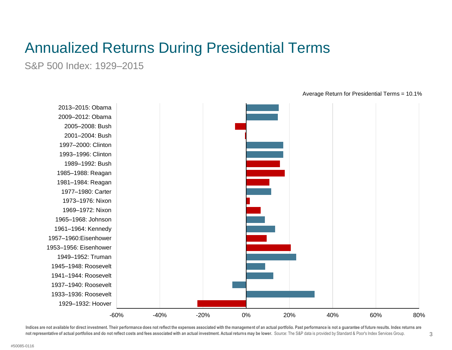S&P 500 Index: 1929–2015



Average Return for Presidential Terms = 10.1%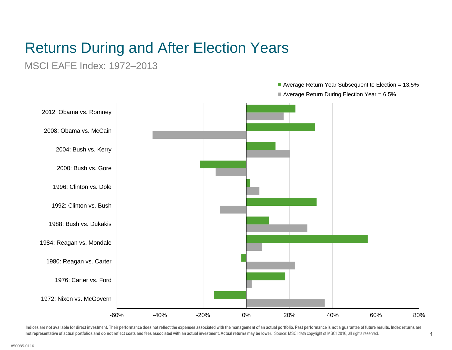MSCI EAFE Index: 1972–2013

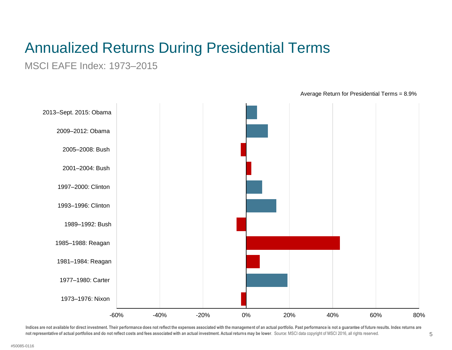MSCI EAFE Index: 1973–2015



Average Return for Presidential Terms = 8.9%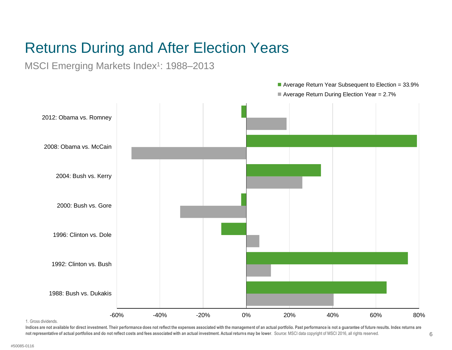MSCI Emerging Markets Index<sup>1</sup>: 1988-2013



1. Gross dividends.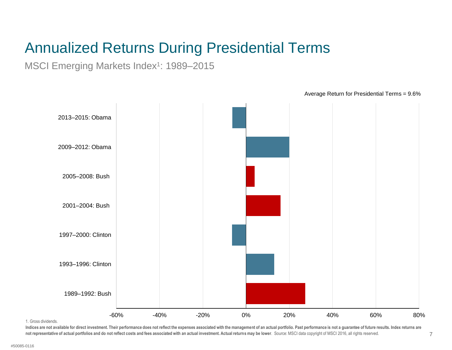MSCI Emerging Markets Index<sup>1</sup>: 1989-2015



Average Return for Presidential Terms = 9.6%

1. Gross dividends.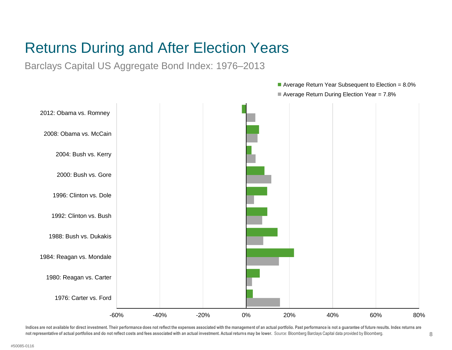Barclays Capital US Aggregate Bond Index: 1976–2013

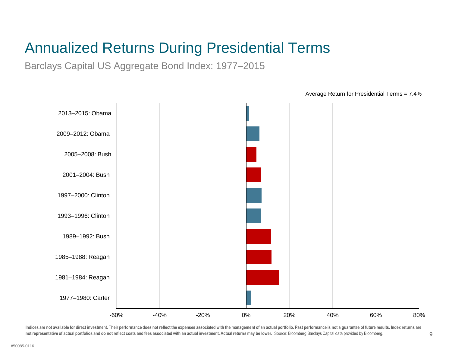Barclays Capital US Aggregate Bond Index: 1977–2015

-60% -40% -20% 0% 20% 40% 60% 80% 1977–1980: Carter 1981–1984: Reagan 1985–1988: Reagan 1989–1992: Bush 1993–1996: Clinton 1997–2000: Clinton 2001–2004: Bush 2005–2008: Bush 2009–2012: Obama 2013–2015: Obama

Average Return for Presidential Terms = 7.4%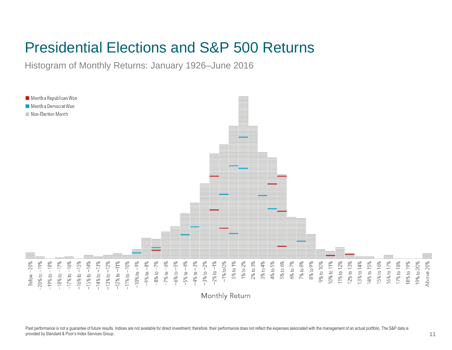#### Presidential Elections and S&P 500 Returns

Histogram of Monthly Returns: January 1926–June 2016